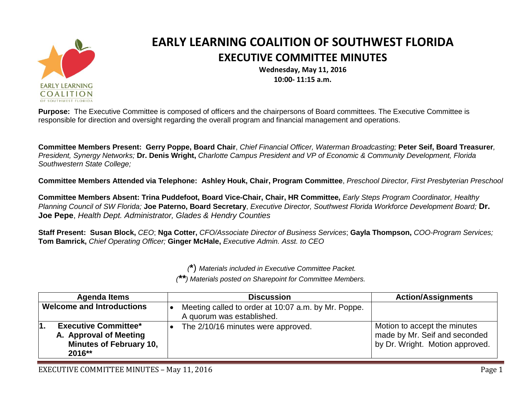

## **EARLY LEARNING COALITION OF SOUTHWEST FLORIDA EXECUTIVE COMMITTEE MINUTES**

**Wednesday, May 11, 2016 10:00- 11:15 a.m.**

**Purpose:** The Executive Committee is composed of officers and the chairpersons of Board committees. The Executive Committee is responsible for direction and oversight regarding the overall program and financial management and operations.

**Committee Members Present: Gerry Poppe, Board Chair**, *Chief Financial Officer, Waterman Broadcasting;* **Peter Seif, Board Treasurer***, President, Synergy Networks;* **Dr. Denis Wright,** *Charlotte Campus President and VP of Economic & Community Development, Florida Southwestern State College;*

**Committee Members Attended via Telephone: Ashley Houk, Chair, Program Committee**, *Preschool Director, First Presbyterian Preschool*

**Committee Members Absent: Trina Puddefoot, Board Vice-Chair, Chair, HR Committee,** *Early Steps Program Coordinator, Healthy Planning Council of SW Florida;* **Joe Paterno, Board Secretary**, *Executive Director, Southwest Florida Workforce Development Board;* **Dr. Joe Pepe**, *Health Dept. Administrator, Glades & Hendry Counties*

**Staff Present: Susan Block,** *CEO*; **Nga Cotter,** *CFO/Associate Director of Business Services*; **Gayla Thompson,** *COO-Program Services;*  **Tom Bamrick,** *Chief Operating Officer;* **Ginger McHale,** *Executive Admin. Asst. to CEO*

*(***\***) *Materials included in Executive Committee Packet.*

*(\*\*) Materials posted on Sharepoint for Committee Members.*

| <b>Agenda Items</b>                                                                                      | <b>Discussion</b>                                                                | <b>Action/Assignments</b>                                                                        |
|----------------------------------------------------------------------------------------------------------|----------------------------------------------------------------------------------|--------------------------------------------------------------------------------------------------|
| <b>Welcome and Introductions</b>                                                                         | Meeting called to order at 10:07 a.m. by Mr. Poppe.<br>A quorum was established. |                                                                                                  |
| <b>Executive Committee*</b><br>Ι1.<br>A. Approval of Meeting<br><b>Minutes of February 10,</b><br>2016** | The 2/10/16 minutes were approved.                                               | Motion to accept the minutes<br>made by Mr. Seif and seconded<br>by Dr. Wright. Motion approved. |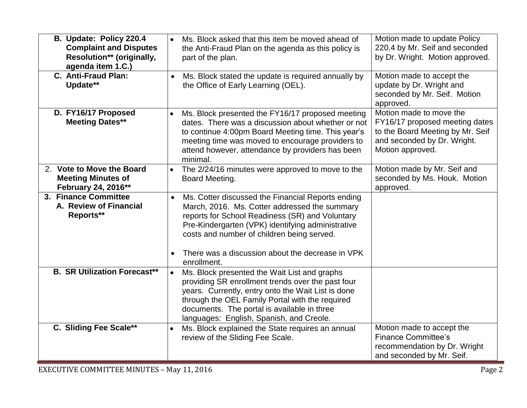| B. Update: Policy 220.4<br><b>Complaint and Disputes</b><br>Resolution** (originally,<br>agenda item 1.C.) | Ms. Block asked that this item be moved ahead of<br>the Anti-Fraud Plan on the agenda as this policy is<br>part of the plan.                                                                                                                                                                                                             | Motion made to update Policy<br>220.4 by Mr. Seif and seconded<br>by Dr. Wright. Motion approved.                                                |
|------------------------------------------------------------------------------------------------------------|------------------------------------------------------------------------------------------------------------------------------------------------------------------------------------------------------------------------------------------------------------------------------------------------------------------------------------------|--------------------------------------------------------------------------------------------------------------------------------------------------|
| C. Anti-Fraud Plan:<br>Update**                                                                            | Ms. Block stated the update is required annually by<br>the Office of Early Learning (OEL).                                                                                                                                                                                                                                               | Motion made to accept the<br>update by Dr. Wright and<br>seconded by Mr. Seif. Motion<br>approved.                                               |
| D. FY16/17 Proposed<br><b>Meeting Dates**</b>                                                              | Ms. Block presented the FY16/17 proposed meeting<br>$\bullet$<br>dates. There was a discussion about whether or not<br>to continue 4:00pm Board Meeting time. This year's<br>meeting time was moved to encourage providers to<br>attend however, attendance by providers has been<br>minimal.                                            | Motion made to move the<br>FY16/17 proposed meeting dates<br>to the Board Meeting by Mr. Seif<br>and seconded by Dr. Wright.<br>Motion approved. |
| 2. Vote to Move the Board<br><b>Meeting Minutes of</b><br>February 24, 2016**                              | The 2/24/16 minutes were approved to move to the<br>$\bullet$<br>Board Meeting.                                                                                                                                                                                                                                                          | Motion made by Mr. Seif and<br>seconded by Ms. Houk. Motion<br>approved.                                                                         |
| 3. Finance Committee<br>A. Review of Financial<br>Reports**                                                | Ms. Cotter discussed the Financial Reports ending<br>$\bullet$<br>March, 2016. Ms. Cotter addressed the summary<br>reports for School Readiness (SR) and Voluntary<br>Pre-Kindergarten (VPK) identifying administrative<br>costs and number of children being served.<br>There was a discussion about the decrease in VPK<br>enrollment. |                                                                                                                                                  |
| <b>B. SR Utilization Forecast**</b>                                                                        | Ms. Block presented the Wait List and graphs<br>$\bullet$<br>providing SR enrollment trends over the past four<br>years. Currently, entry onto the Wait List is done<br>through the OEL Family Portal with the required<br>documents. The portal is available in three<br>languages: English, Spanish, and Creole.                       |                                                                                                                                                  |
| C. Sliding Fee Scale**                                                                                     | Ms. Block explained the State requires an annual<br>review of the Sliding Fee Scale.                                                                                                                                                                                                                                                     | Motion made to accept the<br><b>Finance Committee's</b><br>recommendation by Dr. Wright<br>and seconded by Mr. Seif.                             |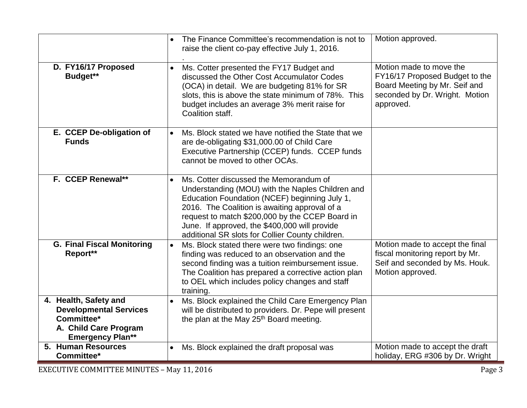|                                                                                                                          | The Finance Committee's recommendation is not to<br>$\bullet$<br>raise the client co-pay effective July 1, 2016.                                                                                                                                                                                                                                     | Motion approved.                                                                                                                          |
|--------------------------------------------------------------------------------------------------------------------------|------------------------------------------------------------------------------------------------------------------------------------------------------------------------------------------------------------------------------------------------------------------------------------------------------------------------------------------------------|-------------------------------------------------------------------------------------------------------------------------------------------|
| D. FY16/17 Proposed<br>Budget**                                                                                          | Ms. Cotter presented the FY17 Budget and<br>$\bullet$<br>discussed the Other Cost Accumulator Codes<br>(OCA) in detail. We are budgeting 81% for SR<br>slots, this is above the state minimum of 78%. This<br>budget includes an average 3% merit raise for<br>Coalition staff.                                                                      | Motion made to move the<br>FY16/17 Proposed Budget to the<br>Board Meeting by Mr. Seif and<br>seconded by Dr. Wright. Motion<br>approved. |
| E. CCEP De-obligation of<br><b>Funds</b>                                                                                 | Ms. Block stated we have notified the State that we<br>are de-obligating \$31,000.00 of Child Care<br>Executive Partnership (CCEP) funds. CCEP funds<br>cannot be moved to other OCAs.                                                                                                                                                               |                                                                                                                                           |
| F. CCEP Renewal**                                                                                                        | Ms. Cotter discussed the Memorandum of<br>Understanding (MOU) with the Naples Children and<br>Education Foundation (NCEF) beginning July 1,<br>2016. The Coalition is awaiting approval of a<br>request to match \$200,000 by the CCEP Board in<br>June. If approved, the \$400,000 will provide<br>additional SR slots for Collier County children. |                                                                                                                                           |
| <b>G. Final Fiscal Monitoring</b><br>Report**                                                                            | Ms. Block stated there were two findings: one<br>$\bullet$<br>finding was reduced to an observation and the<br>second finding was a tuition reimbursement issue.<br>The Coalition has prepared a corrective action plan<br>to OEL which includes policy changes and staff<br>training.                                                               | Motion made to accept the final<br>fiscal monitoring report by Mr.<br>Seif and seconded by Ms. Houk.<br>Motion approved.                  |
| 4. Health, Safety and<br><b>Developmental Services</b><br>Committee*<br>A. Child Care Program<br><b>Emergency Plan**</b> | Ms. Block explained the Child Care Emergency Plan<br>will be distributed to providers. Dr. Pepe will present<br>the plan at the May 25 <sup>th</sup> Board meeting.                                                                                                                                                                                  |                                                                                                                                           |
| 5. Human Resources<br>Committee*                                                                                         | Ms. Block explained the draft proposal was<br>$\bullet$                                                                                                                                                                                                                                                                                              | Motion made to accept the draft<br>holiday, ERG #306 by Dr. Wright                                                                        |
| <b>EXECUTIVE COMMITTEE MINUTES - May 11, 2016</b><br>Page 3                                                              |                                                                                                                                                                                                                                                                                                                                                      |                                                                                                                                           |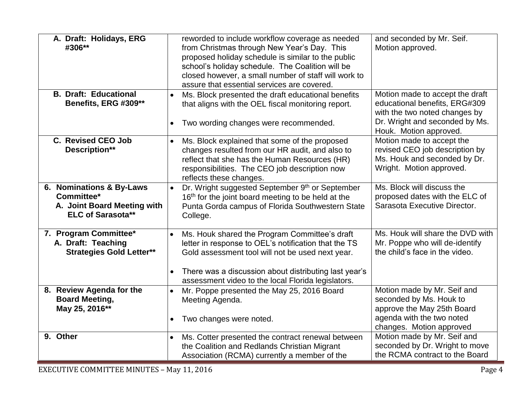| A. Draft: Holidays, ERG<br>#306**                                                                 | reworded to include workflow coverage as needed<br>from Christmas through New Year's Day. This<br>proposed holiday schedule is similar to the public<br>school's holiday schedule. The Coalition will be<br>closed however, a small number of staff will work to<br>assure that essential services are covered. | and seconded by Mr. Seif.<br>Motion approved.                                                                                                                 |
|---------------------------------------------------------------------------------------------------|-----------------------------------------------------------------------------------------------------------------------------------------------------------------------------------------------------------------------------------------------------------------------------------------------------------------|---------------------------------------------------------------------------------------------------------------------------------------------------------------|
| <b>B. Draft: Educational</b><br>Benefits, ERG #309**                                              | Ms. Block presented the draft educational benefits<br>that aligns with the OEL fiscal monitoring report.<br>Two wording changes were recommended.<br>$\bullet$                                                                                                                                                  | Motion made to accept the draft<br>educational benefits, ERG#309<br>with the two noted changes by<br>Dr. Wright and seconded by Ms.<br>Houk. Motion approved. |
| C. Revised CEO Job<br>Description**                                                               | Ms. Block explained that some of the proposed<br>$\bullet$<br>changes resulted from our HR audit, and also to<br>reflect that she has the Human Resources (HR)<br>responsibilities. The CEO job description now<br>reflects these changes.                                                                      | Motion made to accept the<br>revised CEO job description by<br>Ms. Houk and seconded by Dr.<br>Wright. Motion approved.                                       |
| 6. Nominations & By-Laws<br>Committee*<br>A. Joint Board Meeting with<br><b>ELC of Sarasota**</b> | Dr. Wright suggested September 9th or September<br>$\bullet$<br>16 <sup>th</sup> for the joint board meeting to be held at the<br>Punta Gorda campus of Florida Southwestern State<br>College.                                                                                                                  | Ms. Block will discuss the<br>proposed dates with the ELC of<br>Sarasota Executive Director.                                                                  |
| 7. Program Committee*<br>A. Draft: Teaching<br><b>Strategies Gold Letter**</b>                    | Ms. Houk shared the Program Committee's draft<br>letter in response to OEL's notification that the TS<br>Gold assessment tool will not be used next year.<br>There was a discussion about distributing last year's<br>$\bullet$<br>assessment video to the local Florida legislators.                           | Ms. Houk will share the DVD with<br>Mr. Poppe who will de-identify<br>the child's face in the video.                                                          |
| 8. Review Agenda for the<br><b>Board Meeting,</b><br>May 25, 2016**                               | Mr. Poppe presented the May 25, 2016 Board<br>$\bullet$<br>Meeting Agenda.<br>Two changes were noted.                                                                                                                                                                                                           | Motion made by Mr. Seif and<br>seconded by Ms. Houk to<br>approve the May 25th Board<br>agenda with the two noted<br>changes. Motion approved                 |
| 9. Other                                                                                          | Ms. Cotter presented the contract renewal between<br>$\bullet$<br>the Coalition and Redlands Christian Migrant<br>Association (RCMA) currently a member of the                                                                                                                                                  | Motion made by Mr. Seif and<br>seconded by Dr. Wright to move<br>the RCMA contract to the Board                                                               |